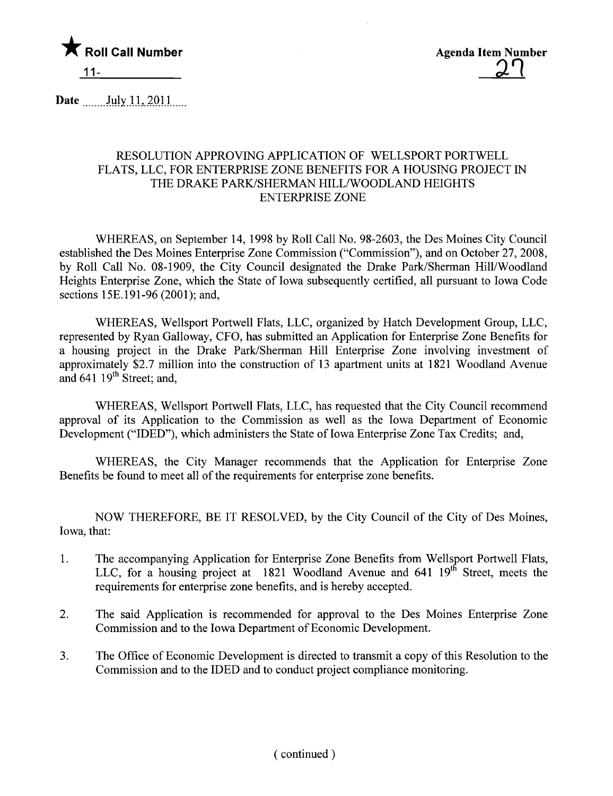

Agenda Item Number <u>ጋገ</u>

Date  $July 11, 2011$ 

## RESOLUTION APPROVING APPLICATION OF WELLSPORT PORTWELL FLATS, LLC, FOR ENTERPRISE ZONE BENEFITS FOR A HOUSING PROJECT IN THE DRAKE PARK/SHERMAN HILL/WOODLAND HEIGHTS ENTERPRISE ZONE

WHEREAS, on September 14, 1998 by Roll Call No. 98-2603, the Des Moines City Council established the Des Moines Enterprise Zone Commission ("Commission"), and on October 27, 2008, by Roll Call No. 08-1909, the City Council designated the Drake Park/Sherman Hil/Woodland Heights Enterprise Zone, which the State of Iowa subsequently certified, all pursuant to Iowa Code sections 15E.191-96 (2001); and,

WHEREAS, Wellsport Portwell Flats, LLC, organized by Hatch Development Group, LLC, represented by Ryan Galloway, CFO, has submitted an Application for Enterprise Zone Benefits for a housing project in the Drake Park/Sherman Hill Enterprise Zone involving investment of approximately \$2.7 milion into the construction of 13 apartment units at 1821 Woodland Avenue and  $641$  19<sup>th</sup> Street; and,

WHEREAS, Wellsport Portwell Flats, LLC, has requested that the City Council recommend approval of its Application to the Commission as well as the Iowa Department of Economic Development ("IDED"), which administers the State of Iowa Enterprise Zone Tax Credits; and,

WHEREAS, the City Manager recommends that the Application for Enterprise Zone Benefits be found to meet all of the requirements for enterprise zone benefits.

NOW THEREFORE, BE IT RESOLVED, by the City Council of the City of Des Moines, Iowa, that:

- 1. The accompanying Application for Enterprise Zone Benefits from Wellsport Portwell Flats, LLC, for a housing project at 1821 Woodland Avenue and  $641$   $19<sup>th</sup>$  Street, meets the requirements for enterprise zone benefits, and is hereby accepted.
- 2. The said Application is recommended for approval to the Des Moines Enterprise Zone Commission and to the Iowa Department of Economic Development.
- 3. The Office of Economic Development is directed to transmit a copy of this Resolution to the Commission and to the IDED and to conduct project compliance monitoring.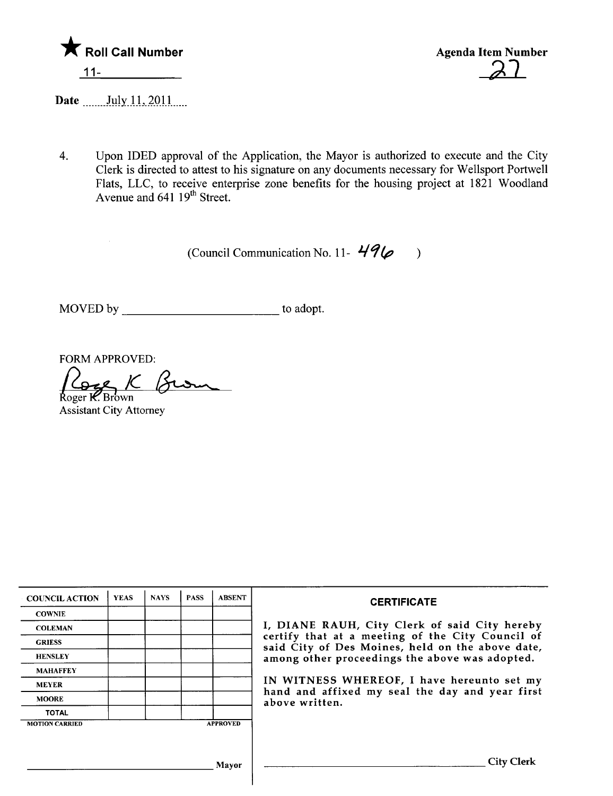

Agenda Item Number

Date \_\_\_\_\_\_\_ July 11, 2011.....

4. Upon IDED approval of the Application, the Mayor is authorized to execute and the City Clerk is directed to attest to his signature on any documents necessary for Wellsport Portwell Flats, LLC, to receive enterprise zone benefits for the housing project at 1821 Woodland Avenue and 641 19<sup>th</sup> Street.

(Council Communication No. 11- $49\%$ )

MOVED by to adopt.

FORM APPROVED:<br>
Roger **K**. Brown<br>
Assistant City Attorney

| <b>COUNCIL ACTION</b> | <b>YEAS</b> | <b>NAYS</b> | <b>PASS</b> | <b>ABSENT</b>   | <b>CERTIFICATE</b>                                                                                              |  |  |  |
|-----------------------|-------------|-------------|-------------|-----------------|-----------------------------------------------------------------------------------------------------------------|--|--|--|
| <b>COWNIE</b>         |             |             |             |                 |                                                                                                                 |  |  |  |
| <b>COLEMAN</b>        |             |             |             |                 | I, DIANE RAUH, City Clerk of said City hereby                                                                   |  |  |  |
| <b>GRIESS</b>         |             |             |             |                 | certify that at a meeting of the City Council of<br>said City of Des Moines, held on the above date,            |  |  |  |
| <b>HENSLEY</b>        |             |             |             |                 | among other proceedings the above was adopted.                                                                  |  |  |  |
| <b>MAHAFFEY</b>       |             |             |             |                 | IN WITNESS WHEREOF, I have hereunto set my<br>hand and affixed my seal the day and year first<br>above written. |  |  |  |
| <b>MEYER</b>          |             |             |             |                 |                                                                                                                 |  |  |  |
| <b>MOORE</b>          |             |             |             |                 |                                                                                                                 |  |  |  |
| <b>TOTAL</b>          |             |             |             |                 |                                                                                                                 |  |  |  |
| <b>MOTION CARRIED</b> |             |             |             | <b>APPROVED</b> |                                                                                                                 |  |  |  |
|                       |             |             |             |                 |                                                                                                                 |  |  |  |
|                       |             |             |             | <b>Mayor</b>    | <b>City Clerk</b>                                                                                               |  |  |  |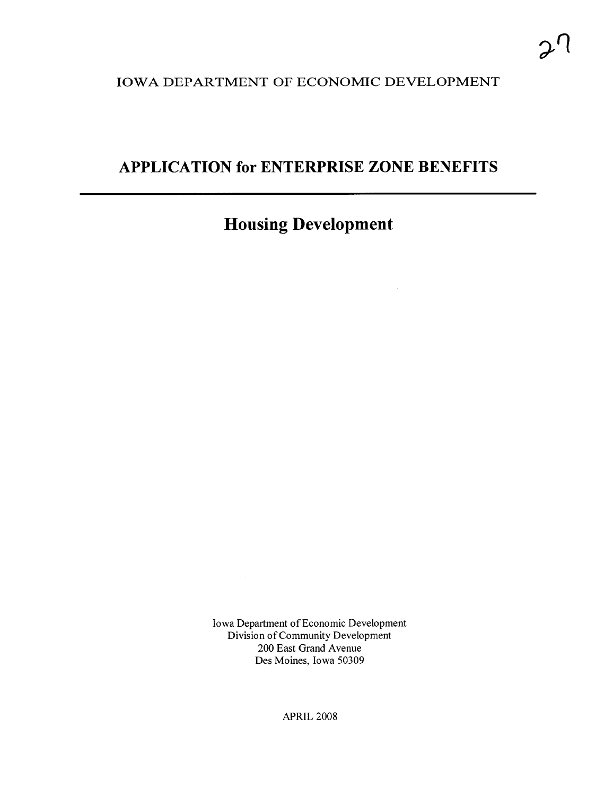## IOWA DEPARTMENT OF ECONOMIC DEVELOPMENT

## APPLICATION for ENTERPRISE ZONE BENEFITS

# Housing Development

Iowa Department of Economic Development Division of Community Development 200 East Grand Avenue Des Moines, Iowa 50309

APRIL 2008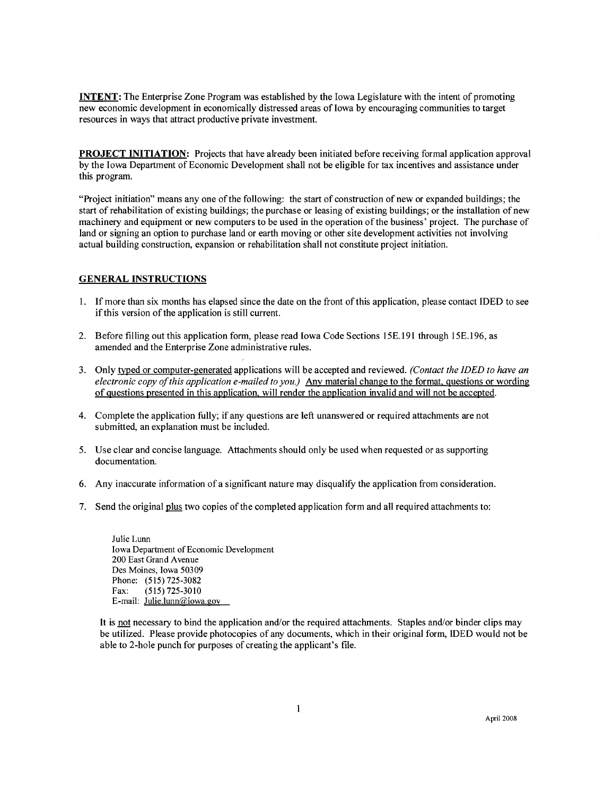INTENT: The Enterprise Zone Program was established by the Iowa Legislature with the intent of promoting new economic development in economically distressed areas of Iowa by encouraging communities to target resources in ways that attract productive private investment.

PROJECT INITIATION: Projects that have already been initiated before receiving formal application approval by the Iowa Department of Economic Development shall not be eligible for tax incentives and assistance under this program.

"Project initiation" means anyone of the following: the start of construction of new or expanded buildings; the start of rehabilitation of existing buildings; the purchase or leasing of existing buildings; or the installation of new machinery and equipment or new computers to be used in the operation of the business' project. The purchase of land or signing an option to purchase land or earth moving or other site development activities not involving actual building construction, expansion or rehabilitation shall not constitute project initiation.

#### GENERAL INSTRUCTIONS

- I. If more than six months has elapsed since the date on the front of this application, please contact IDED to see if this version of the application is still current.
- 2. Before filling out this application form, please read Iowa Code Sections 15E.191 through 15E.196, as amended and the Enterprise Zone administrative rules.
- 3. Only typed or computer-generated applications will be accepted and reviewed. (Contact the IDED to have an electronic copy of this application e-mailed to you.) Anv material change to the format. questions or wording of Questions presented in this application. wil render the application invalid and wil not be accepted.
- 4. Complete the application fully; if any questions are left unanswered or required attachments are not submitted, an explanation must be included.
- 5. Use clear and concise language. Attachments should only be used when requested or as supporting documentation.
- 6. Any inaccurate information of a significant nature may disqualify the application from consideration.
- 7. Send the original plus two copies of the completed application form and all required attachments to:

Julie Lunn Iowa Department of Economic Development 200 East Grand Avenue Des Moines, Iowa 50309 Phone: (515) 725-3082 Fax: (515) 725-3010 E-mail: Julie.lunn@iowa.gov

It is not necessary to bind the application and/or the required attachments. Staples and/or binder clips may be utilized. Please provide photocopies of any documents, which in their original form, IDED would not be able to 2-hole punch for purposes of creating the applicant's fie.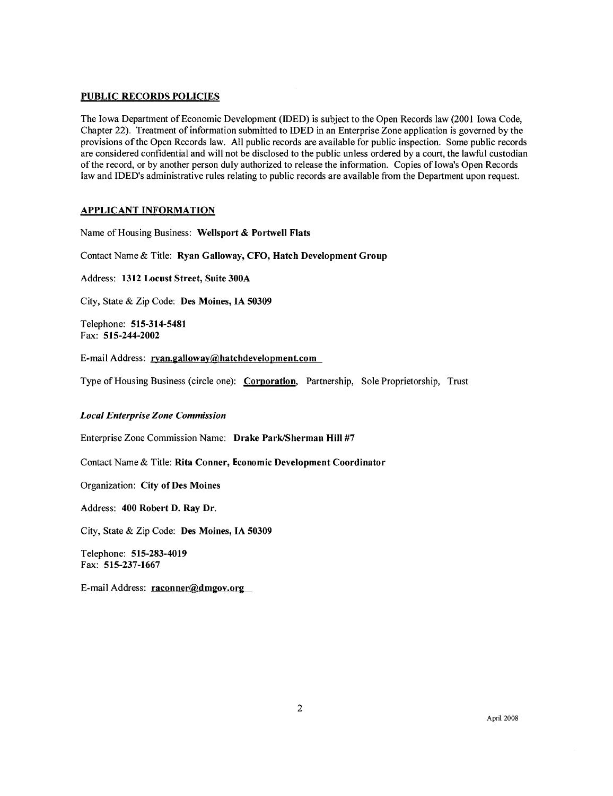#### PUBLIC RECORDS POLICIES

The Iowa Department of Economic Development (IDED) is subject to the Open Records law (2001 Iowa Code, Chapter 22). Treatment of information submitted to IDED in an Enterprise Zone application is governed by the provisions of the Open Records law. All public records are available for public inspection. Some public records are considered confidential and will not be disclosed to the public unless ordered by a court, the lawful custodian of the record, or by another person duly authorized to release the information. Copies of Iowa's Open Records law and IDED's administrative rules relating to public records are available from the Department upon request.

#### APPLICANT INFORMATION

Name of Housing Business: Wellsport & Portwell Flats

Contact Name & Title: Ryan Galloway, CFO, Hatch Development Group

Address: 1312 Locust Street, Suite 300A

City, State & Zip Code: Des Moines, IA 50309

Telephone: 515-314-5481 Fax: 515-244-2002

E-mail Address: ryan.galloway@hatchdevelopment.com

Type of Housing Business (circle one): Corporation, Partnership, Sole Proprietorship, Trust

#### Local Enterprise Zone Commission

Enterprise Zone Commission Name: Drake Park/Sherman Hill #7

Contact Name & Title: Rita Conner, Economic Development Coordinator

Organization: City of Des Moines

Address: 400 Robert D. Ray Dr.

City, State & Zip Code: Des Moines, IA 50309

Telephone: 515-283-4019 Fax: 515-237-1667

E-mail Address: raconner@dmgov.org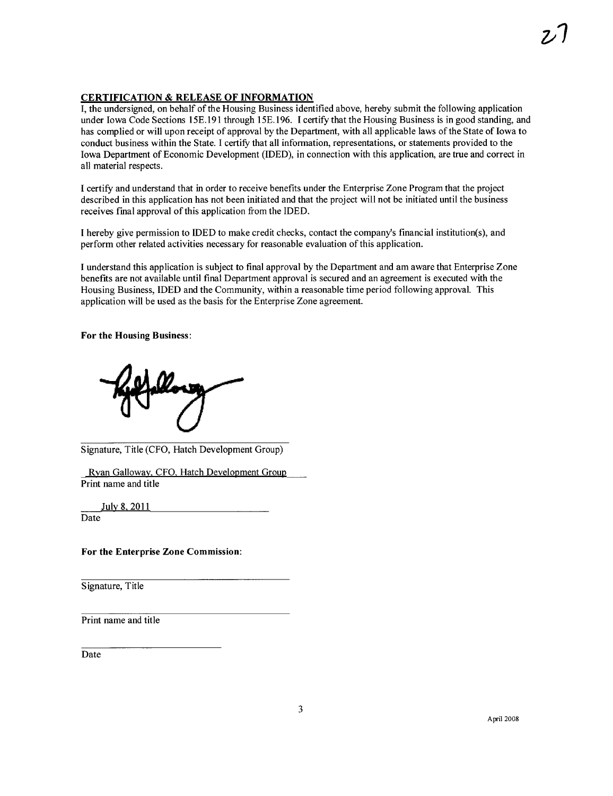#### **CERTIFICATION & RELEASE OF INFORMATION**

I, the undersigned, on behalf of the Housing Business identified above, hereby submit the following application under Iowa Code Sections 15E.191 through 15E.196. I certify that the Housing Business is in good standing, and has complied or wil upon receipt of approval by the Department, with all applicable laws of the State of Iowa to conduct business within the State. I certify that all information, representations, or statements provided to the Iowa Department of Economic Development (IDED), in connection with this application, are true and correct in all material respects.

I certify and understand that in order to receive benefits under the Enterprise Zone Program that the project described in this application has not been initiated and that the project wil not be initiated until the business receives fmal approval of this application from the IDED.

I hereby give permission to IDED to make credit checks, contact the company's financial institution(s), and perform other related activities necessary for reasonable evaluation of this application.

I understand this application is subject to final approval by the Department and am aware that Enterprise Zone benefits are not available until final Department approval is secured and an agreement is executed with the Housing Business, IDED and the Community, within a reasonable time period following approvaL. This application will be used as the basis for the Enterprise Zone agreement.

For the Housing Business:

Signature, Title (CFO, Hatch Development Group)

Rvan Gallowav. CFO. Hatch Development Group Print name and title

Julv 8, 2011 Date

For the Enterprise Zone Commission:

Signature, Title

Print name and title

Date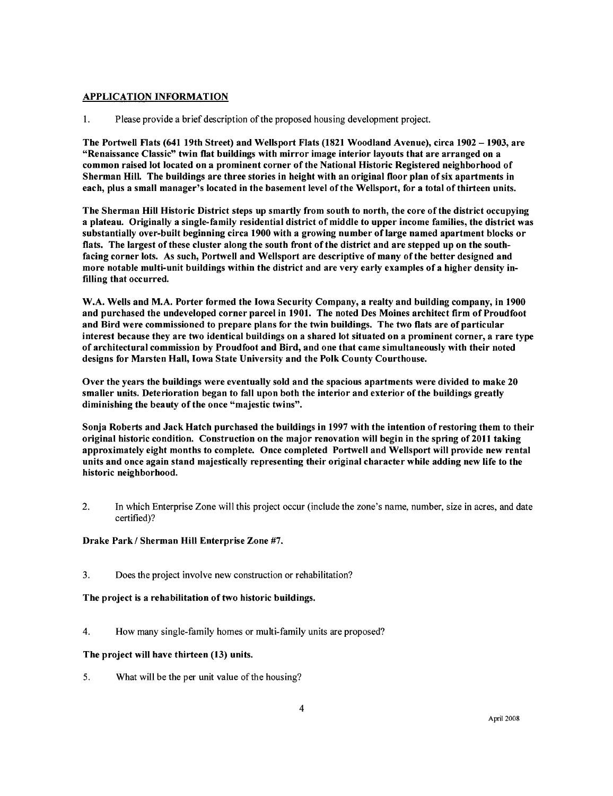#### APPLICATION INFORMATION

1. Please provide a brief description of the proposed housing development project.

The Portwell Flats (641 19th Street) and Wellsport Flats (1821 Woodland Avenue), circa 1902 – 1903, are "Renaissance Classic" twin flat buildings with mirror image interior layouts that are arranged on a common raised lot located on a prominent corner of the National Historic Registered neighborhood of Sherman Hil. The buildings are three stories in height with an original floor plan of six apartments in each, plus a small manager's located in the basement level of the Wellsport, for a total of thirteen units.

The Sherman Hil Historic District steps up smartly from south to north, the core of the district occupying a plateau. Originally a single-family residential district of middle to upper income familes, the district was substantially over-built beginning circa 1900 with a growing number of large named apartment blocks or flats. The largest of these cluster along the south front of the district and are stepped up on the southfacing corner lots. As such, Portwell and Wellsport are descriptive of many of the better designed and more notable multi-unit buildings within the district and are very early examples of a higher density infiling that occurred.

W.A. Wells and M.A. Porter formed the Iowa Security Company, a realty and building company, in 1900 and purchased the undeveloped corner parcel in 1901. The noted Des Moines architect firm of Proudfoot and Bird were commissioned to prepare plans for the twin buildings. The two flats are of particular interest because they are two identical buildings on a shared lot situated on a prominent corner, a rare type of architectural commission by Proudfoot and Bird, and one that came simultaneously with their noted designs for Marsten Hall, Iowa State University and the Polk County Courthouse.

Over the years the buildings were eventually sold and the spacious apartments were divided to make 20 smaller units. Deterioration began to fall upon both the interior and exterior of the buildings greatly diminishing the beauty of the once "majestic twins".

Sonja Roberts and Jack Hatch purchased the buildings in 1997 with the intention of restoring them to their original historic condition. Construction on the major renovation wil begin in the spring of 2011 taking approximately eight months to complete. Once completed Portwell and Wellsport will provide new rental units and once again stand majestically representing their original character while adding new life to the historic neighborhood.

2. In which Enterprise Zone will this project occur (include the zone's name, number, size in acres, and date certified)?

#### Drake Park / Sherman Hill Enterprise Zone #7.

3. Does the project involve new construction or rehabilitation?

The project is a rehabiltation of two historic buildings.

4. How many single-family homes or multi-family units are proposed?

#### The project will have thirteen (13) units.

5. What will be the per unit value of the housing?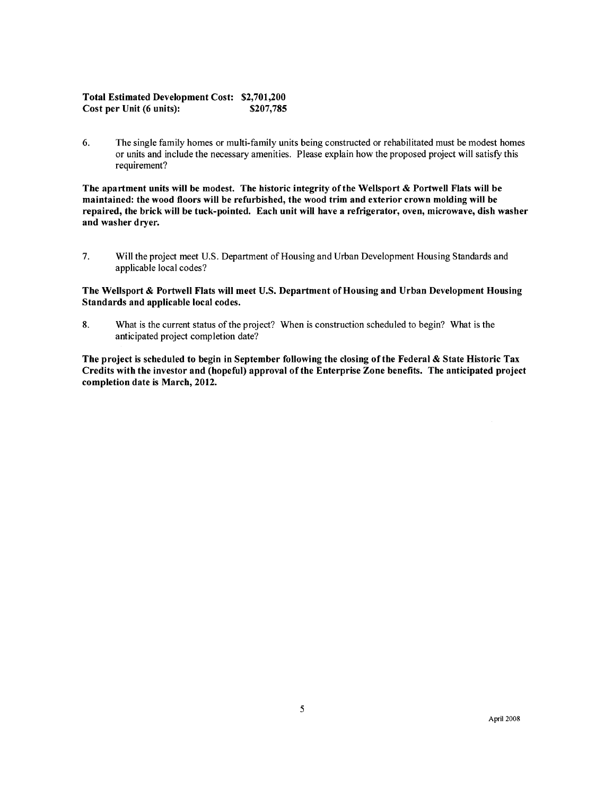#### Total Estimated Development Cost: \$2,701,200 Cost per Unit (6 units): \$207,785

6. The single family homes or multi-family units being constructed or rehabiltated must be modest homes or units and include the necessary amenities. Please explain how the proposed project wil satisfy this requirement?

The apartment units will be modest. The historic integrity of the Wellsport & Portwell Flats will be maintained: the wood floors wil be refurbished, the wood trim and exterior crown molding wil be repaired, the brick will be tuck-pointed. Each unit will have a refrigerator, oven, microwave, dish washer and washer dryer.

7. Wil the project meet U.S. Department of Housing and Urban Development Housing Standards and applicable local codes?

#### The Wellsport & Portwell Flats will meet U.S. Department of Housing and Urban Development Housing Standards and applicable local codes.

8. What is the current status of the project? When is construction scheduled to begin? What is the anticipated project completion date?

The project is scheduled to begin in September following the closing ofthe Federal & State Historic Tax Credits with the investor and (hopeful) approval of the Enterprise Zone benefits. The anticipated project completion date is March, 2012.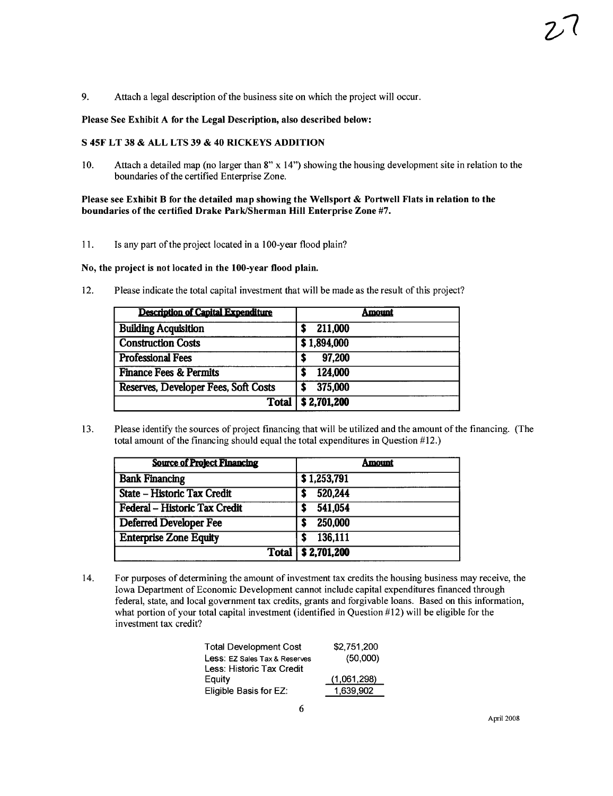9. Attach a legal description of the business site on which the project will occur.

#### Please See Exhibit A for the Legal Description, also described below:

#### S 45F LT 38 & ALL LTS 39 & 40 RICKEYS ADDITION

10. Attach a detailed map (no larger than 8" x 14") showing the housing development site in relation to the boundaries of the certified Enterprise Zone.

#### Please see Exhibit B for the detailed map showing the Wellsport  $\&$  Portwell Flats in relation to the boundaries of the certified Drake Park/Sherman Hill Enterprise Zone #7.

11. Is any part of the project located in a IOO-year flood plain?

#### No, the project is not located in the 100-year flood plain.

12. Please indicate the total capital investment that wil be made as the result of this project?

| <b>Description of Capital Expenditure</b> | Amount               |  |  |
|-------------------------------------------|----------------------|--|--|
| <b>Building Acquisition</b>               | 211,000              |  |  |
| <b>Construction Costs</b>                 | \$1,894,000          |  |  |
| <b>Professional Fees</b>                  | 97.200               |  |  |
| <b>Finance Fees &amp; Permits</b>         | 124,000              |  |  |
| Reserves, Developer Fees, Soft Costs      | 375,000              |  |  |
|                                           | Total   \$ 2,701,200 |  |  |

13. Please identify the sources of project financing that will be utilized and the amount of the financing. (The total amount of the financing should equal the total expenditures in Question #12.)

| <b>Source of Project Financing</b> | Amount              |  |  |
|------------------------------------|---------------------|--|--|
| <b>Bank Financing</b>              | \$1,253,791         |  |  |
| State - Historic Tax Credit        | 520,244             |  |  |
| Federal - Historic Tax Credit      | 541,054             |  |  |
| <b>Deferred Developer Fee</b>      | 250,000             |  |  |
| <b>Enterprise Zone Equity</b>      | 136,111             |  |  |
|                                    | Total   \$2,701,200 |  |  |

14. For purposes of determining the amount of investment tax credits the housing business may receive, the Iowa Department of Economic Development cannot include capital expenditures financed through federal, state, and local government tax credits, grants and forgivable loans. Based on this information, what portion of your total capital investment (identified in Question #12) will be eligible for the investment tax credit?

| \$2,751,200 |
|-------------|
| (50,000)    |
|             |
| (1,061,298) |
| 1,639,902   |
|             |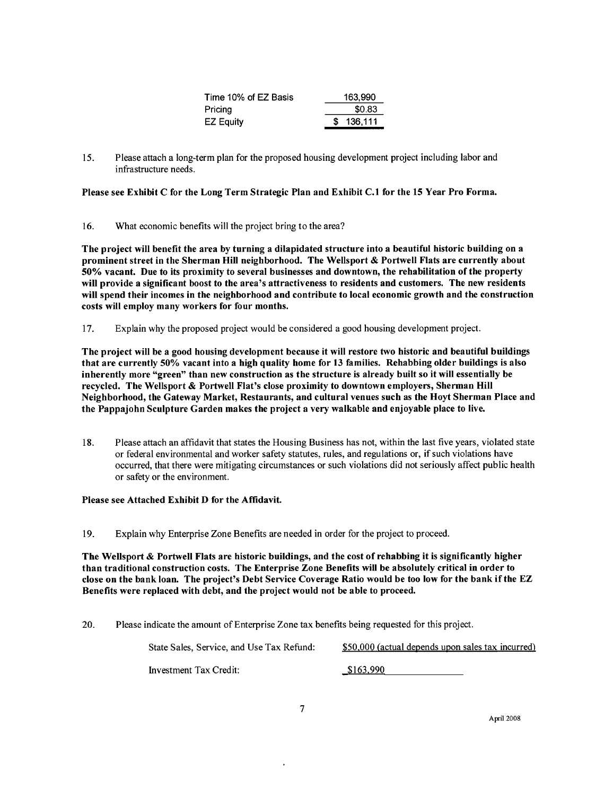| Time 10% of EZ Basis | 163,990   |
|----------------------|-----------|
| Pricina              | \$0.83    |
| <b>EZ Equity</b>     | \$136.111 |

15. Please attach a long-term plan for the proposed housing development project including labor and infrastructure needs.

Please see Exhibit C for the Long Term Strategic Plan and Exhibit C.l for the 15 Year Pro Forma.

16. What economic benefits will the project bring to the area?

The project wil benefit the area by turning a dilapidated structure into a beautiful historic building on a prominent street in the Sherman Hill neighborhood. The Wellsport & Portwell Flats are currently about 50% vacant. Due to its proximity to several businesses and downtown, the rehabiltation of the property will provide a significant boost to the area's attractiveness to residents and customers. The new residents will spend their incomes in the neighborhood and contribute to local economic growth and the construction costs will employ many workers for four months.

17. Explain why the proposed project would be considered a good housing development project.

The project will be a good housing development because it will restore two historic and beautiful buildings that are currently 50% vacant into a high quality home for 13 familes. Rehabbing older buildings is also inherently more "green" than new construction as the structure is already built so it wil essentially be recycled. The Wellsport & Portwell Flat's close proximity to downtown employers, Sherman Hill Neighborhood, the Gateway Market, Restaurants, and cultural venues such as the Hoyt Sherman Place and the Pappajohn Sculpture Garden makes the project a very walkable and enjoyable place to live.

18. Please attach an affdavit that states the Housing Business has not, within the last five years, violated state or federal environmental and worker safety statutes, rules, and regulations or, if such violations have occurred, that there were mitigating circumstances or such violations did not seriously affect public health or safety or the environment.

#### Please see Attached Exhibit D for the Affidavit.

19. Explain why Enterprise Zone Benefits are needed in order for the project to proceed.

The Wellsport & Portwell Flats are historic buildings, and the cost of rehabbing it is significantly higher than traditional construction costs. The Enterprise Zone Benefits wil be absolutely critical in order to close on the bank loan. The project's Debt Service Coverage Ratio would be too low for the bank if the EZ Benefits were replaced with debt, and the project would not be able to proceed.

20. Please indicate the amount of Enterprise Zone tax benefits being requested for this project.

| State Sales. Service, and Use Tax Refund: | \$50,000 (actual depends upon sales tax incurred) |
|-------------------------------------------|---------------------------------------------------|
| Investment Tax Credit:                    | \$163,990                                         |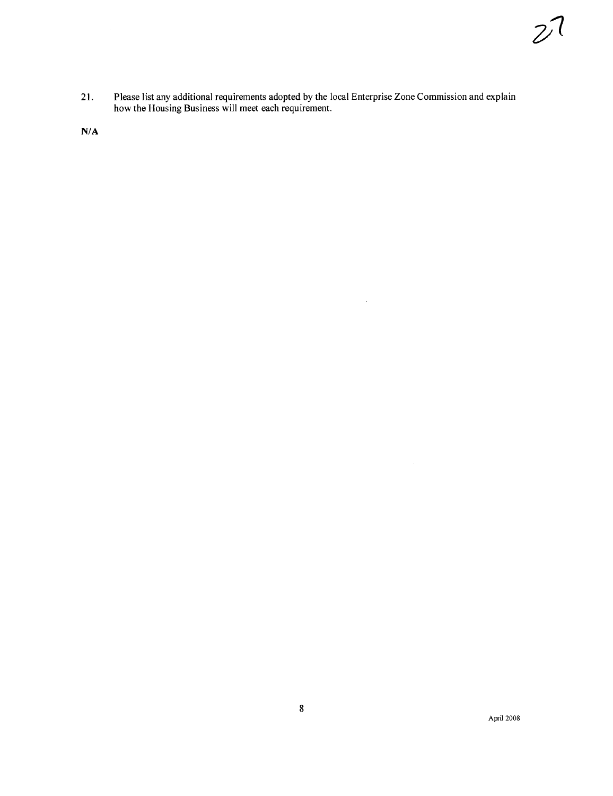21. Please list any additional requirements adopted by the local Enterprise Zone Commission and explain how the Housing Business will meet each requirement.

 $\hat{\mathcal{A}}$ 

N/A

 $\mathcal{A}^{\mathcal{A}}$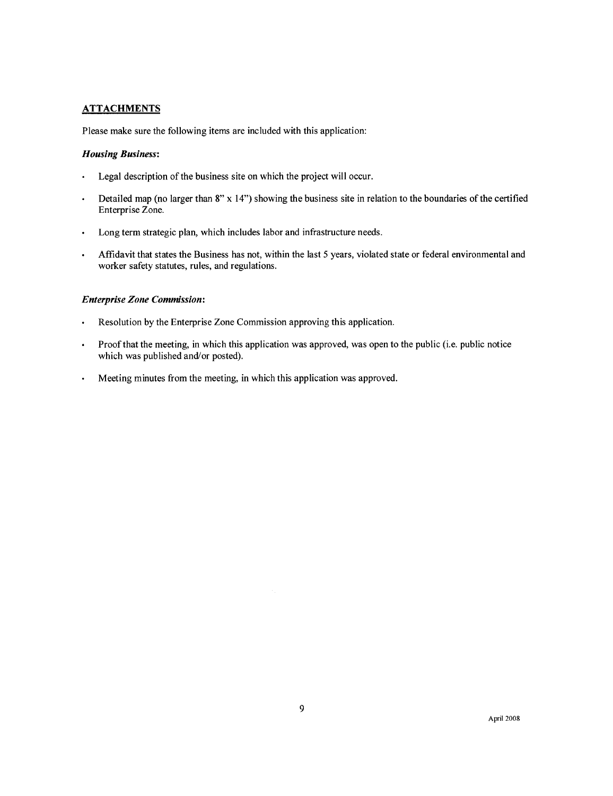#### **ATTACHMENTS**

Please make sure the following items are included with this application:

#### Housing Business:

- Legal description of the business site on which the project will occur.
- Detailed map (no larger than 8" x 14") showing the business site in relation to the boundaries of the certified  $\bullet$ Enterprise Zone.
- Long term strategic plan, which includes labor and infrastructure needs.  $\bullet$
- Affdavit that states the Business has not, within the last 5 years, violated state or federal environmental and  $\ddot{\phantom{0}}$ worker safety statutes, rules, and regulations.

#### Enterprise Zone Commission:

- Resolution by the Enterprise Zone Commission approving this application.
- Proof that the meeting, in which this application was approved, was open to the public (i.e. public notice which was published and/or posted).
- $\ddot{\phantom{0}}$ Meeting minutes from the meeting, in which this application was approved.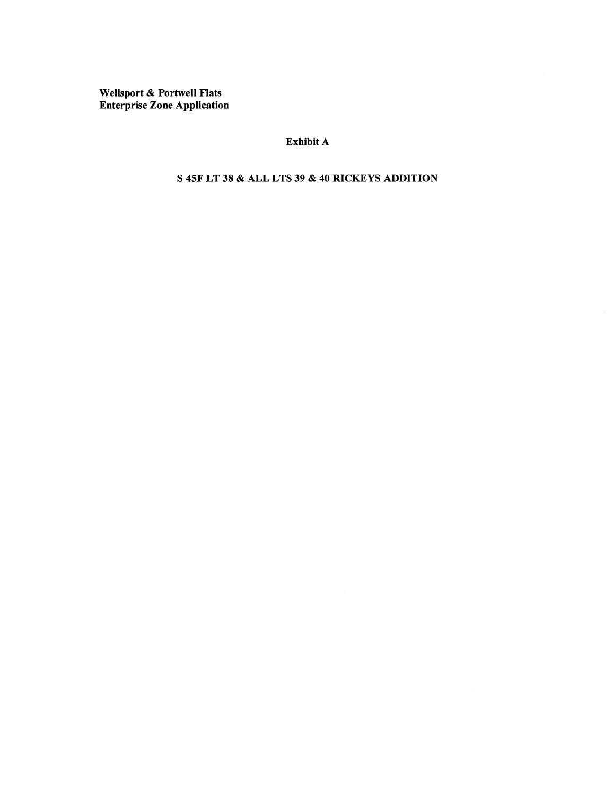Wellsport & Portwell Flats Enterprise Zone Application

### Exhibit A

S 45F LT 38 & ALL LTS 39 & 40 RICKEYS ADDITION